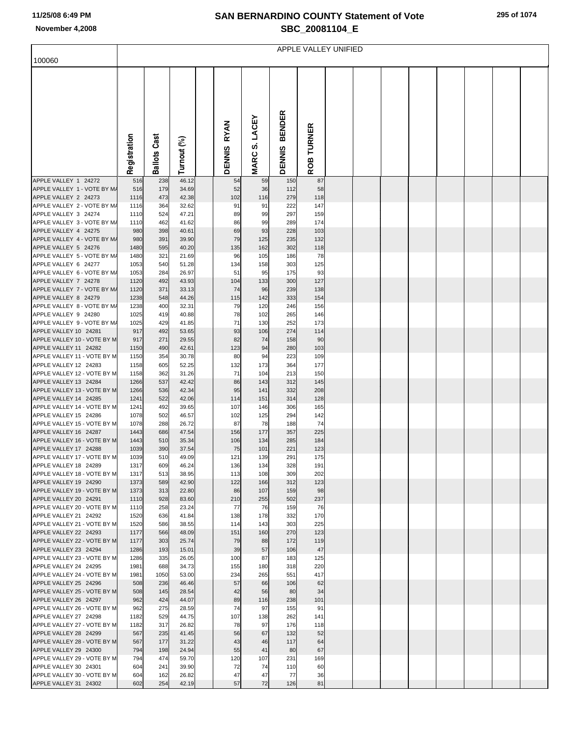## **SAN BERNARDINO COUNTY Statement of Vote November 4,2008 SBC\_20081104\_E**

|                                                      | APPLE VALLEY UNIFIED |                     |                |  |                              |                                   |                                |                             |  |  |  |  |  |  |  |
|------------------------------------------------------|----------------------|---------------------|----------------|--|------------------------------|-----------------------------------|--------------------------------|-----------------------------|--|--|--|--|--|--|--|
| 100060                                               |                      |                     |                |  |                              |                                   |                                |                             |  |  |  |  |  |  |  |
|                                                      | Registration         | <b>Ballots Cast</b> | Turnout (%)    |  | <b>RYAN</b><br><b>DENNIS</b> | LACEY<br><u>ທ່</u><br><b>MARC</b> | <b>BENDER</b><br><b>DENNIS</b> | <b>TURNER</b><br><b>ROB</b> |  |  |  |  |  |  |  |
| APPLE VALLEY 1 24272                                 | 516                  | 238                 | 46.12          |  | 54                           | 59                                | 150                            | 87                          |  |  |  |  |  |  |  |
| APPLE VALLEY 1 - VOTE BY M/<br>APPLE VALLEY 2 24273  | 516<br>1116          | 179<br>473          | 34.69<br>42.38 |  | 52<br>102                    | 36<br>116                         | 112<br>279                     | 58<br>118                   |  |  |  |  |  |  |  |
| APPLE VALLEY 2 - VOTE BY M/                          | 1116                 | 364                 | 32.62          |  | 91                           | 91                                | 222                            | 147                         |  |  |  |  |  |  |  |
| APPLE VALLEY 3 24274                                 | 1110                 | 524                 | 47.21          |  | 89                           | 99                                | 297                            | 159                         |  |  |  |  |  |  |  |
| APPLE VALLEY 3 - VOTE BY M/                          | 1110                 | 462                 | 41.62          |  | 86                           | 99                                | 289                            | 174                         |  |  |  |  |  |  |  |
| APPLE VALLEY 4 24275                                 | 980                  | 398                 | 40.61          |  | 69                           | 93                                | 228                            | 103                         |  |  |  |  |  |  |  |
| APPLE VALLEY 4 - VOTE BY M/<br>APPLE VALLEY 5 24276  | 980<br>1480          | 391<br>595          | 39.90<br>40.20 |  | 79<br>135                    | 125<br>162                        | 235<br>302                     | 132<br>118                  |  |  |  |  |  |  |  |
| APPLE VALLEY 5 - VOTE BY M/                          | 1480                 | 321                 | 21.69          |  | 96                           | 105                               | 186                            | 78                          |  |  |  |  |  |  |  |
| APPLE VALLEY 6 24277                                 | 1053                 | 540                 | 51.28          |  | 134                          | 158                               | 303                            | 125                         |  |  |  |  |  |  |  |
| APPLE VALLEY 6 - VOTE BY M/                          | 1053                 | 284                 | 26.97          |  | 51                           | 95                                | 175                            | 93                          |  |  |  |  |  |  |  |
| APPLE VALLEY 7 24278                                 | 1120                 | 492                 | 43.93          |  | 104                          | 133                               | 300                            | 127                         |  |  |  |  |  |  |  |
| APPLE VALLEY 7 - VOTE BY M/                          | 1120                 | 371                 | 33.13          |  | 74                           | 96                                | 239                            | 138                         |  |  |  |  |  |  |  |
| APPLE VALLEY 8 24279<br>APPLE VALLEY 8 - VOTE BY M/  | 1238<br>1238         | 548<br>400          | 44.26<br>32.31 |  | 115<br>79                    | 142<br>120                        | 333<br>246                     | 154<br>156                  |  |  |  |  |  |  |  |
| APPLE VALLEY 9 24280                                 | 1025                 | 419                 | 40.88          |  | 78                           | 102                               | 265                            | 146                         |  |  |  |  |  |  |  |
| APPLE VALLEY 9 - VOTE BY M/                          | 1025                 | 429                 | 41.85          |  | 71                           | 130                               | 252                            | 173                         |  |  |  |  |  |  |  |
| APPLE VALLEY 10 24281                                | 917                  | 492                 | 53.65          |  | 93                           | 106                               | 274                            | 114                         |  |  |  |  |  |  |  |
| APPLE VALLEY 10 - VOTE BY M                          | 917                  | 271                 | 29.55          |  | 82                           | 74                                | 158                            | 90                          |  |  |  |  |  |  |  |
| APPLE VALLEY 11 24282                                | 1150                 | 490                 | 42.61          |  | 123                          | 94                                | 280                            | 103                         |  |  |  |  |  |  |  |
| APPLE VALLEY 11 - VOTE BY M<br>APPLE VALLEY 12 24283 | 1150<br>1158         | 354<br>605          | 30.78<br>52.25 |  | 80<br>132                    | 94<br>173                         | 223<br>364                     | 109<br>177                  |  |  |  |  |  |  |  |
| APPLE VALLEY 12 - VOTE BY M                          | 1158                 | 362                 | 31.26          |  | 71                           | 104                               | 213                            | 150                         |  |  |  |  |  |  |  |
| APPLE VALLEY 13 24284                                | 1266                 | 537                 | 42.42          |  | 86                           | 143                               | 312                            | 145                         |  |  |  |  |  |  |  |
| APPLE VALLEY 13 - VOTE BY M                          | 1266                 | 536                 | 42.34          |  | 95                           | 141                               | 332                            | 208                         |  |  |  |  |  |  |  |
| APPLE VALLEY 14 24285                                | 1241                 | 522                 | 42.06          |  | 114                          | 151                               | 314                            | 128                         |  |  |  |  |  |  |  |
| APPLE VALLEY 14 - VOTE BY M<br>APPLE VALLEY 15 24286 | 1241<br>1078         | 492<br>502          | 39.65<br>46.57 |  | 107<br>102                   | 146<br>125                        | 306<br>294                     | 165<br>142                  |  |  |  |  |  |  |  |
| APPLE VALLEY 15 - VOTE BY M                          | 1078                 | 288                 | 26.72          |  | 87                           | 78                                | 188                            | 74                          |  |  |  |  |  |  |  |
| APPLE VALLEY 16 24287                                | 1443                 | 686                 | 47.54          |  | 156                          | 177                               | 357                            | 225                         |  |  |  |  |  |  |  |
| APPLE VALLEY 16 - VOTE BY M                          | 1443                 | 510                 | 35.34          |  | 106                          | 134                               | 285                            | 184                         |  |  |  |  |  |  |  |
| APPLE VALLEY 17 24288                                | 1039                 | 390                 | 37.54          |  | 75                           | 101                               | 221                            | 123                         |  |  |  |  |  |  |  |
| APPLE VALLEY 17 - VOTE BY M<br>APPLE VALLEY 18 24289 | 1039<br>1317         | 510<br>609          | 49.09<br>46.24 |  | 121<br>136                   | 139<br>134                        | 291<br>328                     | 175<br>191                  |  |  |  |  |  |  |  |
| APPLE VALLEY 18 - VOTE BY M                          | 1317                 | 513                 | 38.95          |  | 113                          | 108                               | 309                            | 202                         |  |  |  |  |  |  |  |
| APPLE VALLEY 19 24290                                | 1373                 | 589                 | 42.90          |  | 122                          | 166                               | 312                            | 123                         |  |  |  |  |  |  |  |
| APPLE VALLEY 19 - VOTE BY M                          | 1373                 | 313                 | 22.80          |  | 86                           | 107                               | 159                            | 98                          |  |  |  |  |  |  |  |
| APPLE VALLEY 20 24291                                | 1110                 | 928                 | 83.60          |  | 210                          | 255                               | 502                            | 237                         |  |  |  |  |  |  |  |
| APPLE VALLEY 20 - VOTE BY M<br>APPLE VALLEY 21 24292 | 1110<br>1520         | 258<br>636          | 23.24<br>41.84 |  | 77<br>138                    | 76<br>178                         | 159<br>332                     | 76<br>170                   |  |  |  |  |  |  |  |
| APPLE VALLEY 21 - VOTE BY M                          | 1520                 | 586                 | 38.55          |  | 114                          | 143                               | 303                            | 225                         |  |  |  |  |  |  |  |
| APPLE VALLEY 22 24293                                | 1177                 | 566                 | 48.09          |  | 151                          | 160                               | 270                            | 123                         |  |  |  |  |  |  |  |
| APPLE VALLEY 22 - VOTE BY M                          | 1177                 | 303                 | 25.74          |  | 79                           | 88                                | 172                            | 119                         |  |  |  |  |  |  |  |
| APPLE VALLEY 23 24294                                | 1286                 | 193                 | 15.01          |  | 39<br>100                    | 57                                | 106                            | 47                          |  |  |  |  |  |  |  |
| APPLE VALLEY 23 - VOTE BY M<br>APPLE VALLEY 24 24295 | 1286<br>1981         | 335<br>688          | 26.05<br>34.73 |  | 155                          | 87<br>180                         | 183<br>318                     | 125<br>220                  |  |  |  |  |  |  |  |
| APPLE VALLEY 24 - VOTE BY M                          | 1981                 | 1050                | 53.00          |  | 234                          | 265                               | 551                            | 417                         |  |  |  |  |  |  |  |
| APPLE VALLEY 25 24296                                | 508                  | 236                 | 46.46          |  | 57                           | 66                                | 106                            | 62                          |  |  |  |  |  |  |  |
| APPLE VALLEY 25 - VOTE BY M                          | 508                  | 145                 | 28.54          |  | 42                           | 56                                | 80                             | 34                          |  |  |  |  |  |  |  |
| APPLE VALLEY 26 24297                                | 962<br>962           | 424<br>275          | 44.07          |  | 89                           | 116<br>97                         | 238                            | 101<br>91                   |  |  |  |  |  |  |  |
| APPLE VALLEY 26 - VOTE BY M<br>APPLE VALLEY 27 24298 | 1182                 | 529                 | 28.59<br>44.75 |  | 74<br>107                    | 138                               | 155<br>262                     | 141                         |  |  |  |  |  |  |  |
| APPLE VALLEY 27 - VOTE BY M                          | 1182                 | 317                 | 26.82          |  | 78                           | 97                                | 176                            | 118                         |  |  |  |  |  |  |  |
| APPLE VALLEY 28 24299                                | 567                  | 235                 | 41.45          |  | 56                           | 67                                | 132                            | 52                          |  |  |  |  |  |  |  |
| APPLE VALLEY 28 - VOTE BY M                          | 567                  | 177                 | 31.22          |  | 43                           | 46                                | 117                            | 64                          |  |  |  |  |  |  |  |
| APPLE VALLEY 29 24300                                | 794                  | 198                 | 24.94          |  | 55                           | 41                                | 80                             | 67                          |  |  |  |  |  |  |  |
| APPLE VALLEY 29 - VOTE BY M<br>APPLE VALLEY 30 24301 | 794<br>604           | 474<br>241          | 59.70<br>39.90 |  | 120<br>72                    | 107<br>74                         | 231<br>110                     | 169<br>60                   |  |  |  |  |  |  |  |
| APPLE VALLEY 30 - VOTE BY M                          | 604                  | 162                 | 26.82          |  | 47                           | 47                                | 77                             | 36                          |  |  |  |  |  |  |  |
| APPLE VALLEY 31 24302                                | 602                  | 254                 | 42.19          |  | 57                           | 72                                | 126                            | 81                          |  |  |  |  |  |  |  |